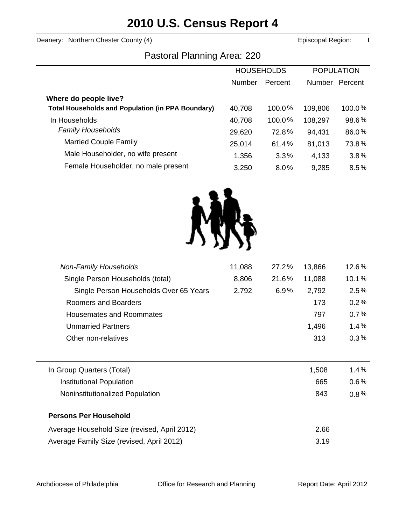## **2010 U.S. Census Report 4**

Deanery: Northern Chester County (4) **Example 2** Episcopal Region: I

### Pastoral Planning Area: 220

|                                                          | <b>HOUSEHOLDS</b> |           | <b>POPULATION</b> |         |
|----------------------------------------------------------|-------------------|-----------|-------------------|---------|
|                                                          | <b>Number</b>     | Percent   | <b>Number</b>     | Percent |
| Where do people live?                                    |                   |           |                   |         |
| <b>Total Households and Population (in PPA Boundary)</b> | 40,708            | $100.0\%$ | 109,806           | 100.0%  |
| In Households                                            | 40,708            | 100.0%    | 108,297           | 98.6%   |
| <b>Family Households</b>                                 | 29,620            | 72.8%     | 94,431            | 86.0%   |
| <b>Married Couple Family</b>                             | 25,014            | 61.4%     | 81,013            | 73.8%   |
| Male Householder, no wife present                        | 1,356             | 3.3%      | 4,133             | 3.8%    |
| Female Householder, no male present                      | 3,250             | 8.0%      | 9,285             | 8.5%    |



| <b>Non-Family Households</b>                 | 11,088 | 27.2% | 13,866 | 12.6%   |
|----------------------------------------------|--------|-------|--------|---------|
| Single Person Households (total)             | 8,806  | 21.6% | 11,088 | 10.1%   |
| Single Person Households Over 65 Years       | 2,792  | 6.9%  | 2,792  | 2.5%    |
| Roomers and Boarders                         |        |       | 173    | 0.2%    |
| Housemates and Roommates                     |        |       | 797    | 0.7%    |
| <b>Unmarried Partners</b>                    |        |       | 1,496  | 1.4%    |
| Other non-relatives                          |        |       | 313    | 0.3%    |
|                                              |        |       |        |         |
| In Group Quarters (Total)                    |        |       | 1,508  | 1.4%    |
| Institutional Population                     |        |       | 665    | $0.6\%$ |
| Noninstitutionalized Population              |        |       | 843    | $0.8\%$ |
| <b>Persons Per Household</b>                 |        |       |        |         |
| Average Household Size (revised, April 2012) |        |       | 2.66   |         |
| Average Family Size (revised, April 2012)    |        |       | 3.19   |         |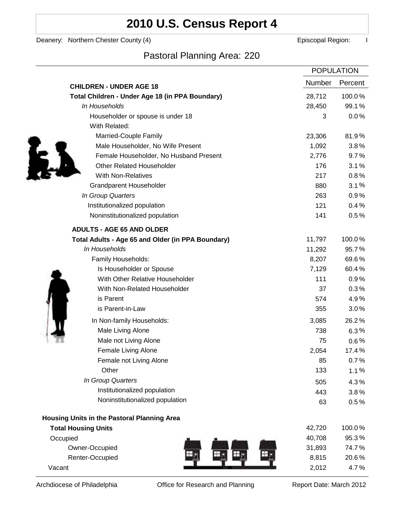# **2010 U.S. Census Report 4**

Deanery: Northern Chester County (4) **Example 2** Episcopal Region: I

l,

Pastoral Planning Area: 220

|                                                   | <b>POPULATION</b> |         |
|---------------------------------------------------|-------------------|---------|
| <b>CHILDREN - UNDER AGE 18</b>                    | <b>Number</b>     | Percent |
| Total Children - Under Age 18 (in PPA Boundary)   | 28,712            | 100.0%  |
| In Households                                     | 28,450            | 99.1%   |
| Householder or spouse is under 18                 | 3                 | $0.0\%$ |
| With Related:                                     |                   |         |
| Married-Couple Family                             | 23,306            | 81.9%   |
| Male Householder, No Wife Present                 | 1,092             | 3.8%    |
| Female Householder, No Husband Present            | 2,776             | 9.7%    |
| <b>Other Related Householder</b>                  | 176               | 3.1%    |
| <b>With Non-Relatives</b>                         | 217               | 0.8%    |
| <b>Grandparent Householder</b>                    | 880               | 3.1%    |
| In Group Quarters                                 | 263               | 0.9%    |
| Institutionalized population                      | 121               | 0.4%    |
| Noninstitutionalized population                   | 141               | 0.5%    |
| <b>ADULTS - AGE 65 AND OLDER</b>                  |                   |         |
| Total Adults - Age 65 and Older (in PPA Boundary) | 11,797            | 100.0%  |
| In Households                                     | 11,292            | 95.7%   |
| Family Households:                                | 8,207             | 69.6%   |
| Is Householder or Spouse                          | 7,129             | 60.4%   |
| With Other Relative Householder                   | 111               | 0.9%    |
| With Non-Related Householder                      | 37                | 0.3%    |
| is Parent                                         | 574               | 4.9%    |
| is Parent-in-Law                                  | 355               | 3.0%    |
| In Non-family Households:                         | 3,085             | 26.2%   |
| Male Living Alone                                 | 738               | $6.3\%$ |
| Male not Living Alone                             | 75                | $0.6\%$ |
| Female Living Alone                               | 2,054             | 17.4%   |
| Female not Living Alone                           | 85                | 0.7%    |
| Other                                             | 133               | 1.1%    |
| In Group Quarters                                 | 505               | 4.3%    |
| Institutionalized population                      | 443               | 3.8%    |
| Noninstitutionalized population                   | 63                | 0.5%    |
| Housing Units in the Pastoral Planning Area       |                   |         |
| <b>Total Housing Units</b>                        | 42,720            | 100.0%  |
| Occupied                                          | 40,708            | 95.3%   |
| Owner-Occupied                                    | 31,893            | 74.7%   |
| Renter-Occupied                                   | 8,815             | 20.6%   |
| Vacant                                            | 2,012             | 4.7%    |

Archdiocese of Philadelphia **Office for Research and Planning** Report Date: March 2012